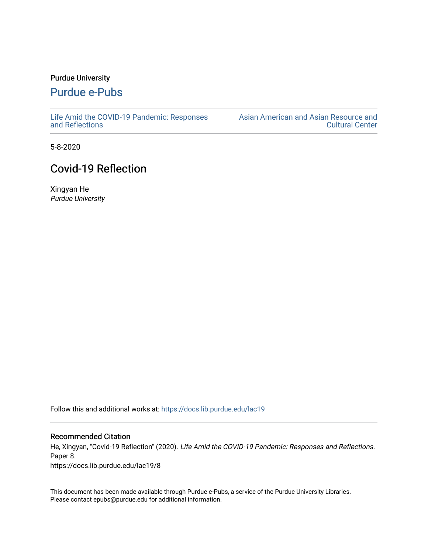#### Purdue University

## [Purdue e-Pubs](https://docs.lib.purdue.edu/)

[Life Amid the COVID-19 Pandemic: Responses](https://docs.lib.purdue.edu/lac19)  [and Reflections](https://docs.lib.purdue.edu/lac19) 

[Asian American and Asian Resource and](https://docs.lib.purdue.edu/aaarcc)  [Cultural Center](https://docs.lib.purdue.edu/aaarcc) 

5-8-2020

# Covid-19 Reflection

Xingyan He Purdue University

Follow this and additional works at: [https://docs.lib.purdue.edu/lac19](https://docs.lib.purdue.edu/lac19?utm_source=docs.lib.purdue.edu%2Flac19%2F8&utm_medium=PDF&utm_campaign=PDFCoverPages)

#### Recommended Citation

He, Xingyan, "Covid-19 Reflection" (2020). Life Amid the COVID-19 Pandemic: Responses and Reflections. Paper 8. https://docs.lib.purdue.edu/lac19/8

This document has been made available through Purdue e-Pubs, a service of the Purdue University Libraries. Please contact epubs@purdue.edu for additional information.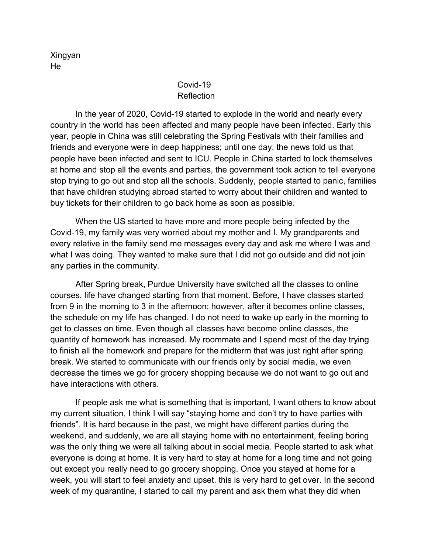Xingyan He

### Covid-19 Reflection

In the year of 2020, Covid-19 started to explode in the world and nearly every country in the world has been affected and many people have been infected. Early this year, people in China was still celebrating the Spring Festivals with their families and friends and everyone were in deep happiness; until one day, the news told us that people have been infected and sent to ICU. People in China started to lock themselves at home and stop all the events and parties, the government took action to tell everyone stop trying to go out and stop all the schools. Suddenly, people started to panic, families that have children studying abroad started to worry about their children and wanted to buy tickets for their children to go back home as soon as possible.

When the US started to have more and more people being infected by the Covid-19, my family was very worried about my mother and I. My grandparents and every relative in the family send me messages every day and ask me where I was and what I was doing. They wanted to make sure that I did not go outside and did not join any parties in the community.

After Spring break, Purdue University have switched all the classes to online courses, life have changed starting from that moment. Before, I have classes started from 9 in the morning to 3 in the afternoon; however, after it becomes online classes, the schedule on my life has changed. I do not need to wake up early in the morning to get to classes on time. Even though all classes have become online classes, the quantity of homework has increased. My roommate and I spend most of the day trying to finish all the homework and prepare for the midterm that was just right after spring break. We started to communicate with our friends only by social media, we even decrease the times we go for grocery shopping because we do not want to go out and have interactions with others.

If people ask me what is something that is important, I want others to know about my current situation, I think I will say "staying home and don't try to have parties with friends". It is hard because in the past, we might have different parties during the weekend, and suddenly, we are all staying home with no entertainment, feeling boring was the only thing we were all talking about in social media. People started to ask what everyone is doing at home. It is very hard to stay at home for a long time and not going out except you really need to go grocery shopping. Once you stayed at home for a week, you will start to feel anxiety and upset. this is very hard to get over. In the second week of my quarantine, I started to call my parent and ask them what they did when